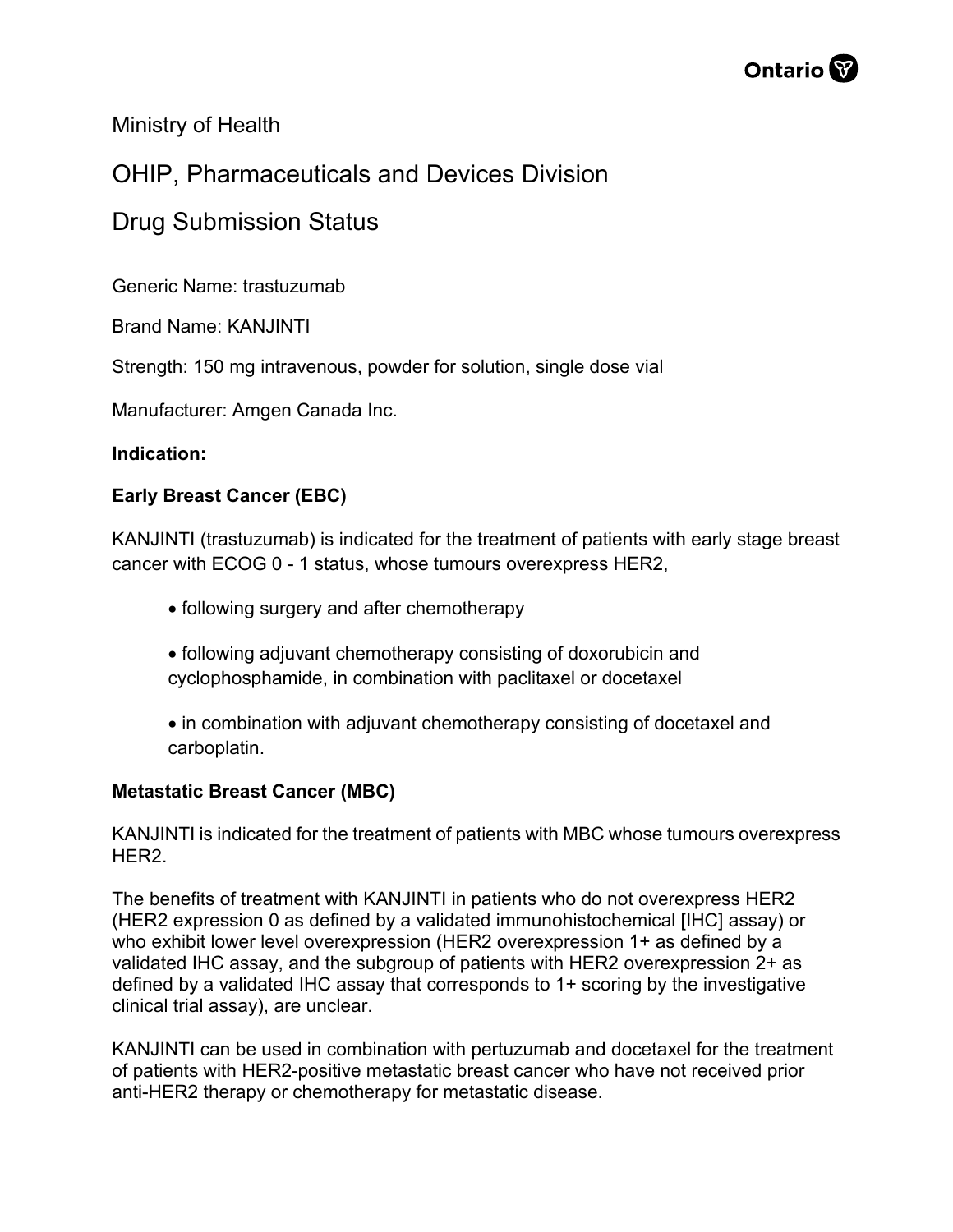

Ministry of Health

## OHIP, Pharmaceuticals and Devices Division

### Drug Submission Status

Generic Name: trastuzumab

Brand Name: KANJINTI

Strength: 150 mg intravenous, powder for solution, single dose vial

Manufacturer: Amgen Canada Inc.

#### **Indication:**

#### **Early Breast Cancer (EBC)**

KANJINTI (trastuzumab) is indicated for the treatment of patients with early stage breast cancer with ECOG 0 - 1 status, whose tumours overexpress HER2,

- following surgery and after chemotherapy
- following adjuvant chemotherapy consisting of doxorubicin and cyclophosphamide, in combination with paclitaxel or docetaxel
- in combination with adjuvant chemotherapy consisting of docetaxel and carboplatin.

#### **Metastatic Breast Cancer (MBC)**

KANJINTI is indicated for the treatment of patients with MBC whose tumours overexpress HER2.

The benefits of treatment with KANJINTI in patients who do not overexpress HER2 (HER2 expression 0 as defined by a validated immunohistochemical [IHC] assay) or who exhibit lower level overexpression (HER2 overexpression 1+ as defined by a validated IHC assay, and the subgroup of patients with HER2 overexpression 2+ as defined by a validated IHC assay that corresponds to 1+ scoring by the investigative clinical trial assay), are unclear.

KANJINTI can be used in combination with pertuzumab and docetaxel for the treatment of patients with HER2-positive metastatic breast cancer who have not received prior anti-HER2 therapy or chemotherapy for metastatic disease.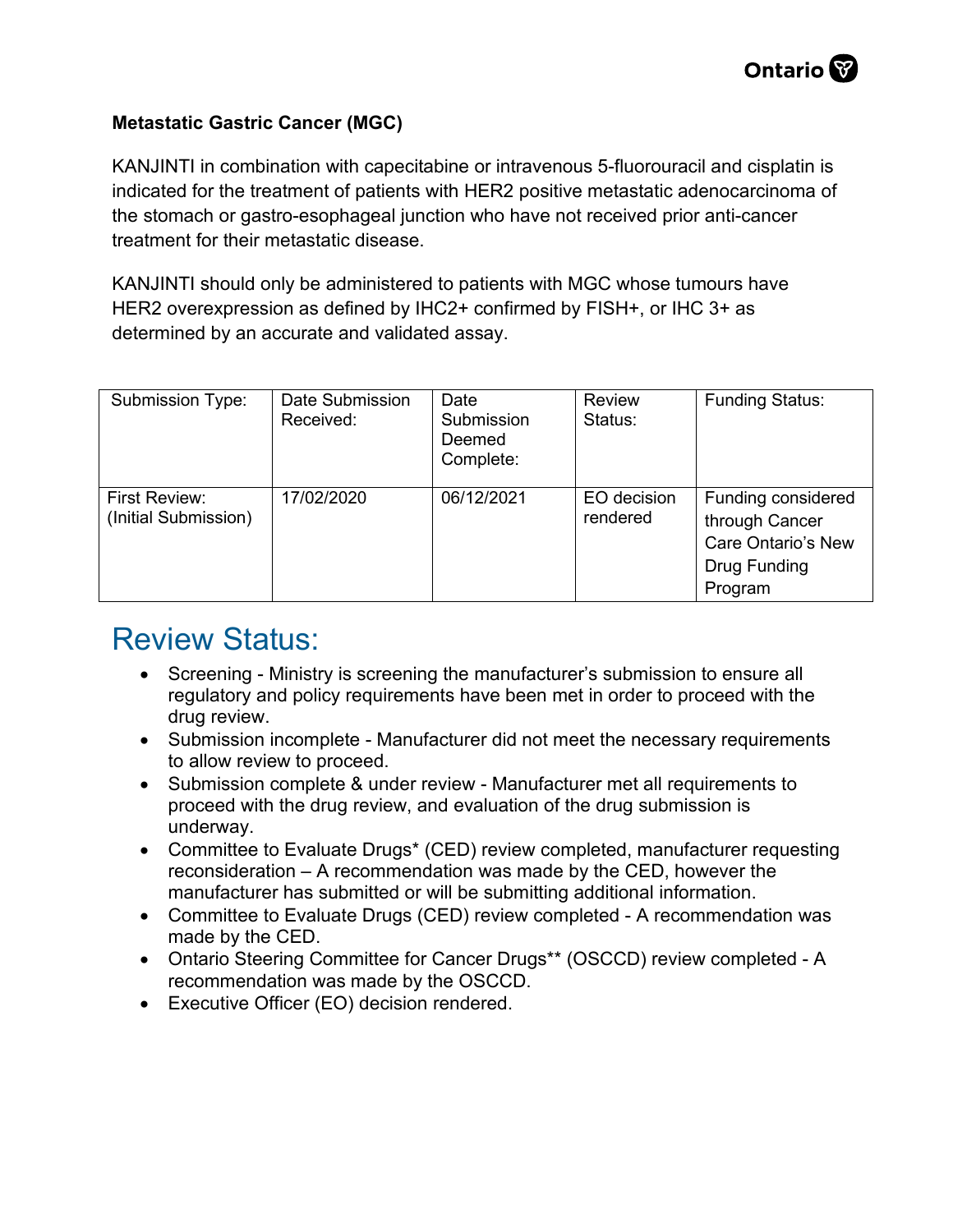#### **Metastatic Gastric Cancer (MGC)**

KANJINTI in combination with capecitabine or intravenous 5-fluorouracil and cisplatin is indicated for the treatment of patients with HER2 positive metastatic adenocarcinoma of the stomach or gastro-esophageal junction who have not received prior anti-cancer treatment for their metastatic disease.

KANJINTI should only be administered to patients with MGC whose tumours have HER2 overexpression as defined by IHC2+ confirmed by FISH+, or IHC 3+ as determined by an accurate and validated assay.

| Submission Type:                      | Date Submission<br>Received: | Date<br>Submission<br>Deemed<br>Complete: | <b>Review</b><br>Status: | <b>Funding Status:</b>                                                                |
|---------------------------------------|------------------------------|-------------------------------------------|--------------------------|---------------------------------------------------------------------------------------|
| First Review:<br>(Initial Submission) | 17/02/2020                   | 06/12/2021                                | EO decision<br>rendered  | Funding considered<br>through Cancer<br>Care Ontario's New<br>Drug Funding<br>Program |

## Review Status:

- Screening Ministry is screening the manufacturer's submission to ensure all regulatory and policy requirements have been met in order to proceed with the drug review.
- Submission incomplete Manufacturer did not meet the necessary requirements to allow review to proceed.
- Submission complete & under review Manufacturer met all requirements to proceed with the drug review, and evaluation of the drug submission is underway.
- Committee to Evaluate Drugs\* (CED) review completed, manufacturer requesting reconsideration – A recommendation was made by the CED, however the manufacturer has submitted or will be submitting additional information.
- Committee to Evaluate Drugs (CED) review completed A recommendation was made by the CED.
- Ontario Steering Committee for Cancer Drugs\*\* (OSCCD) review completed A recommendation was made by the OSCCD.
- Executive Officer (EO) decision rendered.